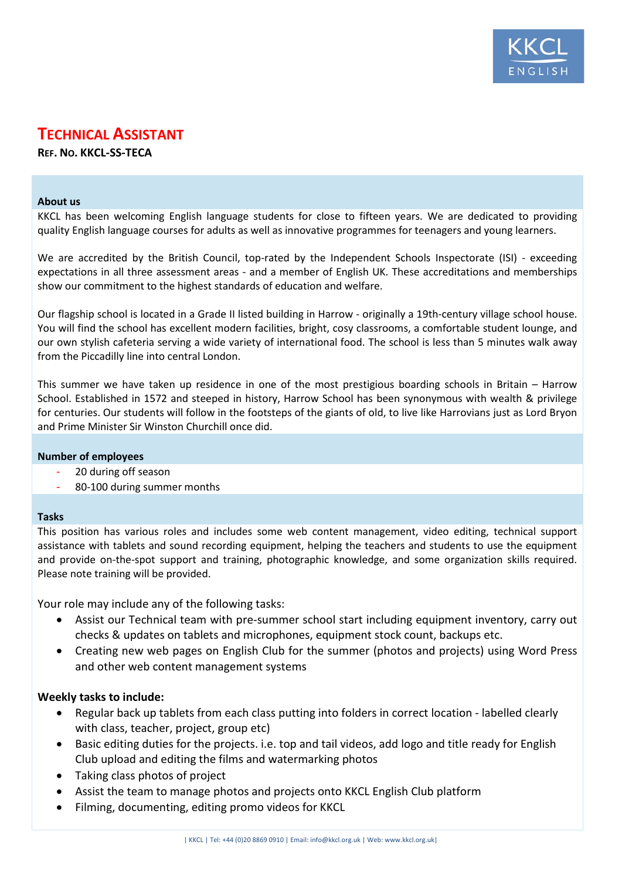

# **TECHNICAL ASSISTANT**

**REF. NO. KKCL-SS-TECA**

#### **About us**

KKCL has been welcoming English language students for close to fifteen years. We are dedicated to providing quality English language courses for adults as well as innovative programmes for teenagers and young learners.

We are accredited by the British Council, top-rated by the Independent Schools Inspectorate (ISI) - exceeding expectations in all three assessment areas - and a member of English UK. These accreditations and memberships show our commitment to the highest standards of education and welfare.

Our flagship school is located in a Grade II listed building in Harrow - originally a 19th-century village school house. You will find the school has excellent modern facilities, bright, cosy classrooms, a comfortable student lounge, and our own stylish cafeteria serving a wide variety of international food. The school is less than 5 minutes walk away from the Piccadilly line into central London.

This summer we have taken up residence in one of the most prestigious boarding schools in Britain – Harrow School. Established in 1572 and steeped in history, Harrow School has been synonymous with wealth & privilege for centuries. Our students will follow in the footsteps of the giants of old, to live like Harrovians just as Lord Bryon and Prime Minister Sir Winston Churchill once did.

# **Number of employees**

- 20 during off season
- 80-100 during summer months

# **Tasks**

This position has various roles and includes some web content management, video editing, technical support assistance with tablets and sound recording equipment, helping the teachers and students to use the equipment and provide on-the-spot support and training, photographic knowledge, and some organization skills required. Please note training will be provided.

Your role may include any of the following tasks:

- Assist our Technical team with pre-summer school start including equipment inventory, carry out checks & updates on tablets and microphones, equipment stock count, backups etc.
- Creating new web pages on English Club for the summer (photos and projects) using Word Press and other web content management systems

# **Weekly tasks to include:**

- Regular back up tablets from each class putting into folders in correct location labelled clearly with class, teacher, project, group etc)
- Basic editing duties for the projects. i.e. top and tail videos, add logo and title ready for English Club upload and editing the films and watermarking photos
- Taking class photos of project
- Assist the team to manage photos and projects onto KKCL English Club platform
- Filming, documenting, editing promo videos for KKCL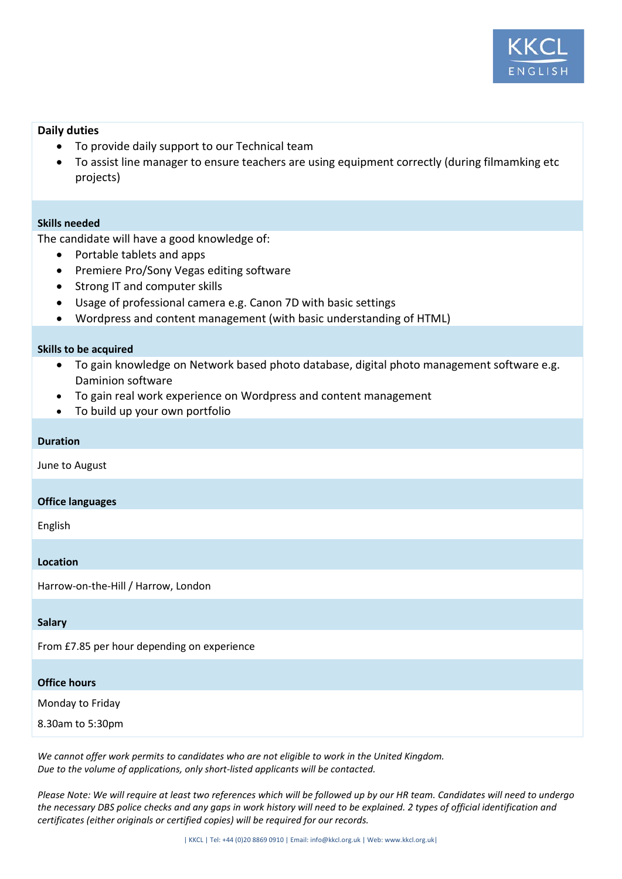

# **Daily duties**

- To provide daily support to our Technical team
- To assist line manager to ensure teachers are using equipment correctly (during filmamking etc projects)

# **Skills needed**

The candidate will have a good knowledge of:

- Portable tablets and apps
- Premiere Pro/Sony Vegas editing software
- Strong IT and computer skills
- Usage of professional camera e.g. Canon 7D with basic settings
- Wordpress and content management (with basic understanding of HTML)

#### **Skills to be acquired**

- To gain knowledge on Network based photo database, digital photo management software e.g. Daminion software
- To gain real work experience on Wordpress and content management
- To build up your own portfolio

### **Duration**

June to August

# **Office languages**

English

#### **Location**

Harrow-on-the-Hill / Harrow, London

#### **Salary**

From £7.85 per hour depending on experience

#### **Office hours**

Monday to Friday

8.30am to 5:30pm

*We cannot offer work permits to candidates who are not eligible to work in the United Kingdom. Due to the volume of applications, only short-listed applicants will be contacted.*

*Please Note: We will require at least two references which will be followed up by our HR team. Candidates will need to undergo the necessary DBS police checks and any gaps in work history will need to be explained. 2 types of official identification and certificates (either originals or certified copies) will be required for our records.*